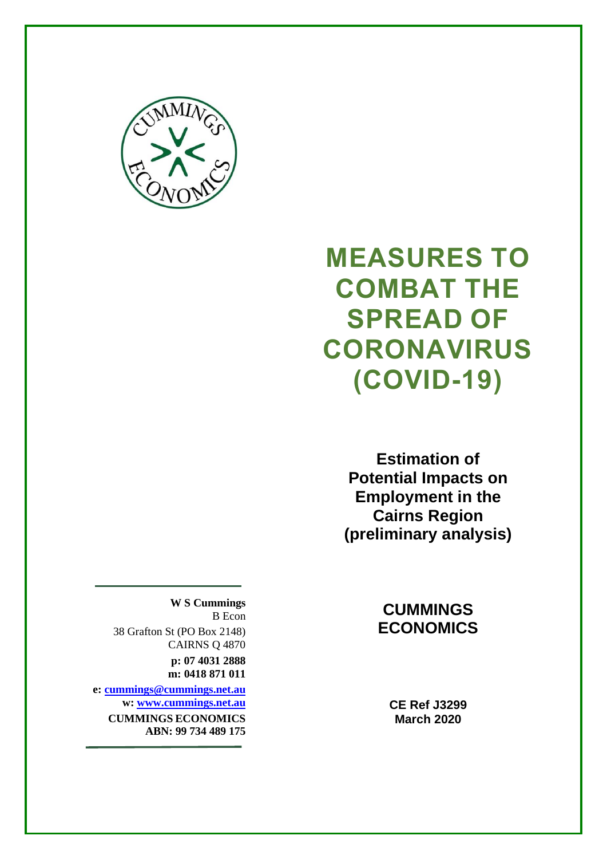

# **MEASURES TO COMBAT THE SPREAD OF CORONAVIRUS (COVID-19)**

**Estimation of Potential Impacts on Employment in the Cairns Region (preliminary analysis)**

### **CUMMINGS ECONOMICS**

**CE Ref J3299 March 2020**

**W S Cummings** B Econ

38 Grafton St (PO Box 2148) CAIRNS Q 4870

**p: 07 4031 2888 m: 0418 871 011**

**e: [cummings@cummings.net.au](mailto:cummings@cummings.net.au) w: [www.cummings.net.au](http://www.cummings.net.au/) CUMMINGS ECONOMICS ABN: 99 734 489 175**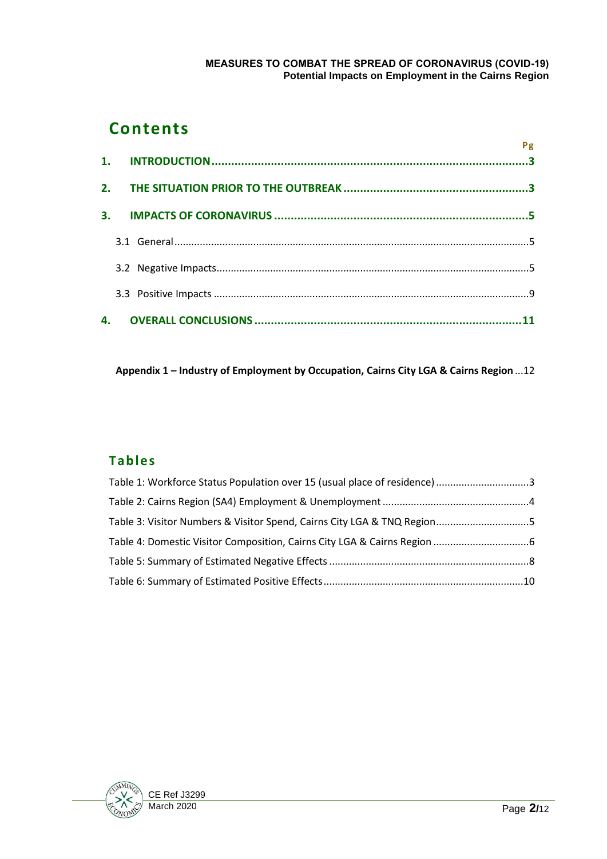#### **MEASURES TO COMBAT THE SPREAD OF CORONAVIRUS (COVID-19) Potential Impacts on Employment in the Cairns Region**

# **Contents**

|    | Pg |
|----|----|
|    |    |
| 3. |    |
|    |    |
|    |    |
|    |    |
|    |    |

**Appendix 1 – [Industry of Employment by Occupation, Cairns City LGA & Cairns Region](#page-11-0)** ...12

### **Tables**

| Table 1: Workforce Status Population over 15 (usual place of residence) 3 |  |
|---------------------------------------------------------------------------|--|
|                                                                           |  |
| Table 3: Visitor Numbers & Visitor Spend, Cairns City LGA & TNQ Region5   |  |
|                                                                           |  |
|                                                                           |  |
|                                                                           |  |

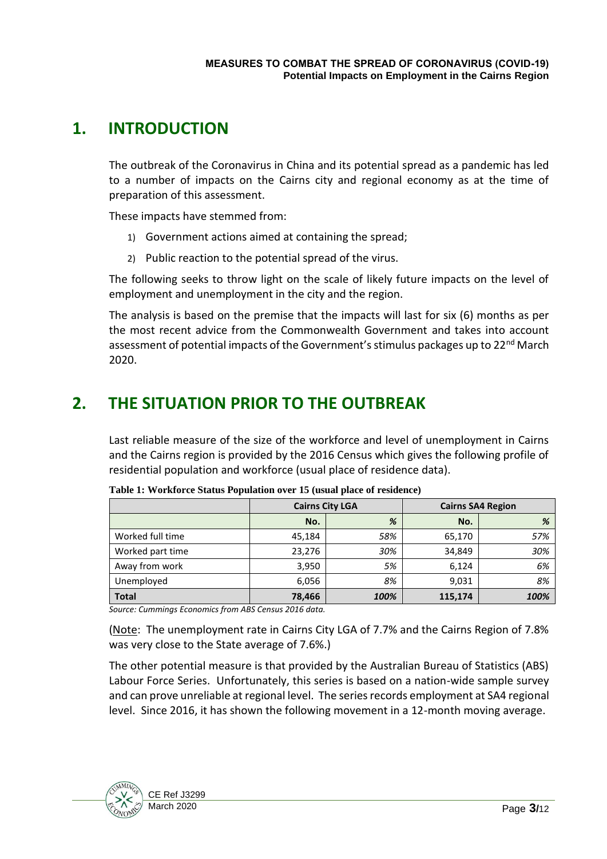# <span id="page-2-0"></span>**1. INTRODUCTION**

The outbreak of the Coronavirus in China and its potential spread as a pandemic has led to a number of impacts on the Cairns city and regional economy as at the time of preparation of this assessment.

These impacts have stemmed from:

- 1) Government actions aimed at containing the spread;
- 2) Public reaction to the potential spread of the virus.

The following seeks to throw light on the scale of likely future impacts on the level of employment and unemployment in the city and the region.

The analysis is based on the premise that the impacts will last for six (6) months as per the most recent advice from the Commonwealth Government and takes into account assessment of potential impacts of the Government's stimulus packages up to 22<sup>nd</sup> March 2020.

# <span id="page-2-1"></span>**2. THE SITUATION PRIOR TO THE OUTBREAK**

Last reliable measure of the size of the workforce and level of unemployment in Cairns and the Cairns region is provided by the 2016 Census which gives the following profile of residential population and workforce (usual place of residence data).

|                  | <b>Cairns City LGA</b> |      | <b>Cairns SA4 Region</b> |      |
|------------------|------------------------|------|--------------------------|------|
|                  | No.                    | %    | No.                      | %    |
| Worked full time | 45,184                 | 58%  | 65,170                   | 57%  |
| Worked part time | 23,276                 | 30%  | 34,849                   | 30%  |
| Away from work   | 3,950                  | 5%   | 6.124                    | 6%   |
| Unemployed       | 6,056                  | 8%   | 9,031                    | 8%   |
| <b>Total</b>     | 78,466                 | 100% | 115,174                  | 100% |

<span id="page-2-2"></span>**Table 1: Workforce Status Population over 15 (usual place of residence)**

*Source: Cummings Economics from ABS Census 2016 data.*

(Note: The unemployment rate in Cairns City LGA of 7.7% and the Cairns Region of 7.8% was very close to the State average of 7.6%.)

The other potential measure is that provided by the Australian Bureau of Statistics (ABS) Labour Force Series. Unfortunately, this series is based on a nation-wide sample survey and can prove unreliable at regional level. The series records employment at SA4 regional level. Since 2016, it has shown the following movement in a 12-month moving average.

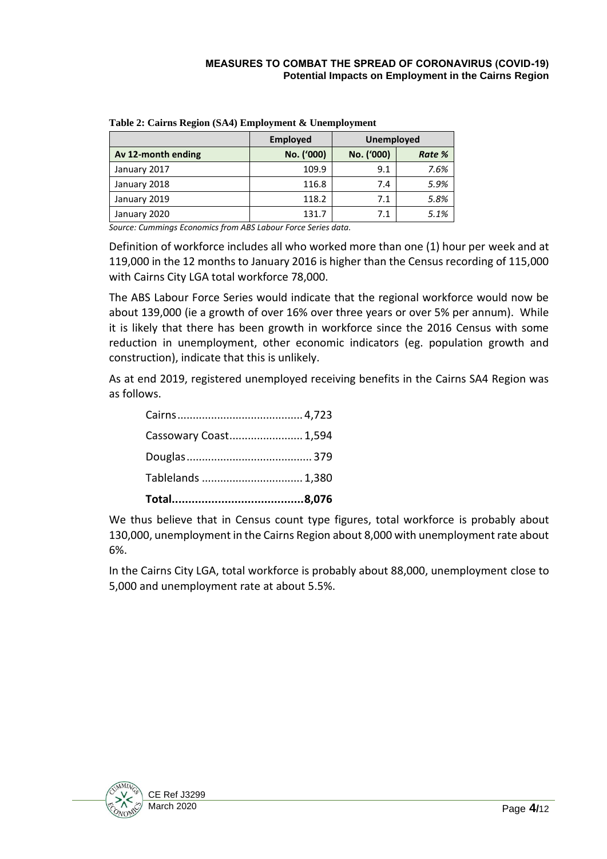|                    | <b>Employed</b> | Unemployed |        |
|--------------------|-----------------|------------|--------|
| Av 12-month ending | No. ('000)      | No. ('000) | Rate % |
| January 2017       | 109.9           | 9.1        | 7.6%   |
| January 2018       | 116.8           | 7.4        | 5.9%   |
| January 2019       | 118.2           | 7.1        | 5.8%   |
| January 2020       | 131.7           | 7.1        | 5.1%   |

<span id="page-3-0"></span>**Table 2: Cairns Region (SA4) Employment & Unemployment**

*Source: Cummings Economics from ABS Labour Force Series data.*

Definition of workforce includes all who worked more than one (1) hour per week and at 119,000 in the 12 months to January 2016 is higher than the Census recording of 115,000 with Cairns City LGA total workforce 78,000.

The ABS Labour Force Series would indicate that the regional workforce would now be about 139,000 (ie a growth of over 16% over three years or over 5% per annum). While it is likely that there has been growth in workforce since the 2016 Census with some reduction in unemployment, other economic indicators (eg. population growth and construction), indicate that this is unlikely.

As at end 2019, registered unemployed receiving benefits in the Cairns SA4 Region was as follows.

| Tablelands  1,380     |
|-----------------------|
|                       |
| Cassowary Coast 1,594 |
|                       |

We thus believe that in Census count type figures, total workforce is probably about 130,000, unemployment in the Cairns Region about 8,000 with unemployment rate about 6%.

In the Cairns City LGA, total workforce is probably about 88,000, unemployment close to 5,000 and unemployment rate at about 5.5%.

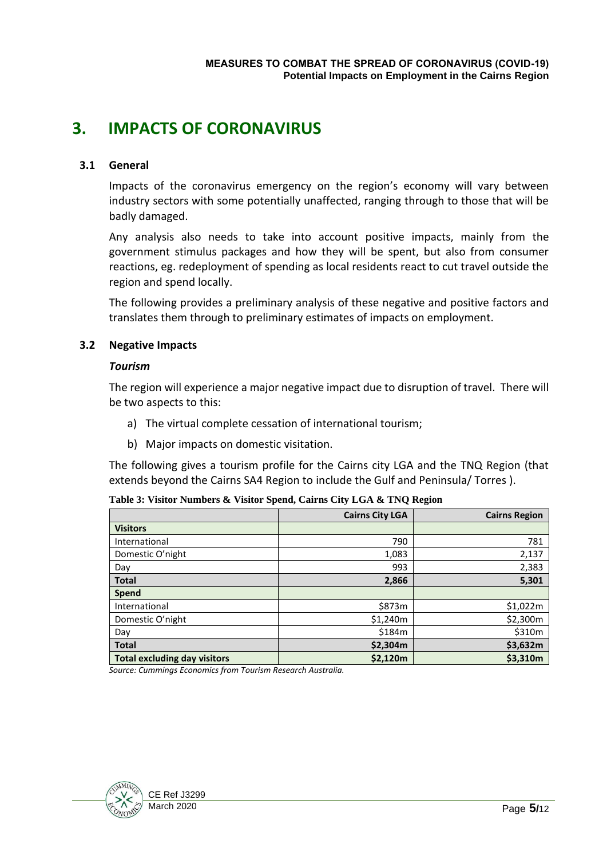# <span id="page-4-0"></span>**3. IMPACTS OF CORONAVIRUS**

#### <span id="page-4-1"></span>**3.1 General**

Impacts of the coronavirus emergency on the region's economy will vary between industry sectors with some potentially unaffected, ranging through to those that will be badly damaged.

Any analysis also needs to take into account positive impacts, mainly from the government stimulus packages and how they will be spent, but also from consumer reactions, eg. redeployment of spending as local residents react to cut travel outside the region and spend locally.

The following provides a preliminary analysis of these negative and positive factors and translates them through to preliminary estimates of impacts on employment.

#### <span id="page-4-2"></span>**3.2 Negative Impacts**

#### *Tourism*

The region will experience a major negative impact due to disruption of travel. There will be two aspects to this:

- a) The virtual complete cessation of international tourism;
- b) Major impacts on domestic visitation.

The following gives a tourism profile for the Cairns city LGA and the TNQ Region (that extends beyond the Cairns SA4 Region to include the Gulf and Peninsula/ Torres ).

<span id="page-4-3"></span>

| Table 3: Visitor Numbers & Visitor Spend, Cairns City LGA & TNQ Region |  |  |
|------------------------------------------------------------------------|--|--|
|------------------------------------------------------------------------|--|--|

|                                     | <b>Cairns City LGA</b> | <b>Cairns Region</b> |
|-------------------------------------|------------------------|----------------------|
| <b>Visitors</b>                     |                        |                      |
| International                       | 790                    | 781                  |
| Domestic O'night                    | 1,083                  | 2,137                |
| Day                                 | 993                    | 2,383                |
| <b>Total</b>                        | 2,866                  | 5,301                |
| <b>Spend</b>                        |                        |                      |
| International                       | \$873m                 | \$1,022m             |
| Domestic O'night                    | \$1,240m               | \$2,300m             |
| Day                                 | \$184m                 | \$310m               |
| <b>Total</b>                        | \$2,304m               | \$3,632m             |
| <b>Total excluding day visitors</b> | \$2,120m               | \$3,310m             |

*Source: Cummings Economics from Tourism Research Australia.*

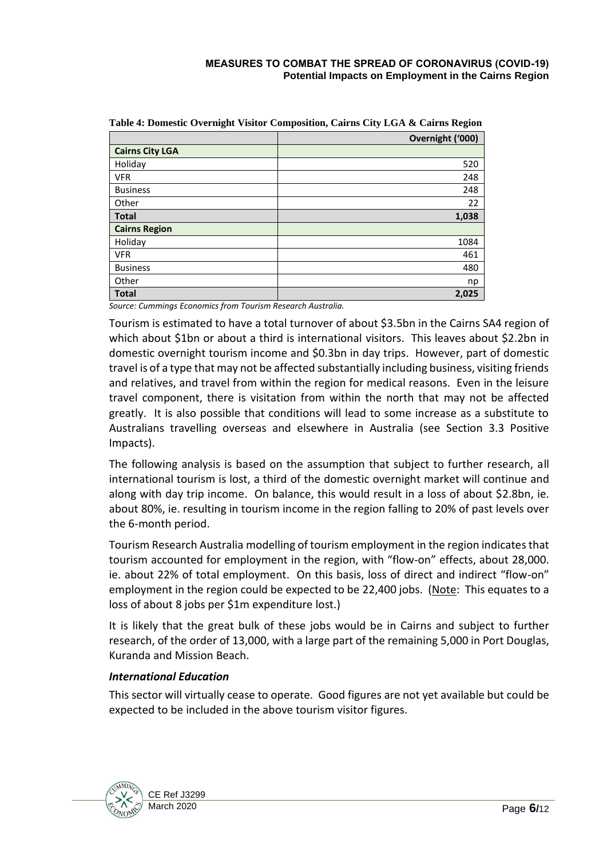|                        | Overnight ('000) |
|------------------------|------------------|
| <b>Cairns City LGA</b> |                  |
| Holiday                | 520              |
| <b>VFR</b>             | 248              |
| <b>Business</b>        | 248              |
| Other                  | 22               |
| <b>Total</b>           | 1,038            |
| <b>Cairns Region</b>   |                  |
| Holiday                | 1084             |
| <b>VFR</b>             | 461              |
| <b>Business</b>        | 480              |
| Other                  | np               |
| <b>Total</b>           | 2,025            |

<span id="page-5-0"></span>**Table 4: Domestic Overnight Visitor Composition, Cairns City LGA & Cairns Region**

*Source: Cummings Economics from Tourism Research Australia.*

Tourism is estimated to have a total turnover of about \$3.5bn in the Cairns SA4 region of which about \$1bn or about a third is international visitors. This leaves about \$2.2bn in domestic overnight tourism income and \$0.3bn in day trips. However, part of domestic travel is of a type that may not be affected substantially including business, visiting friends and relatives, and travel from within the region for medical reasons. Even in the leisure travel component, there is visitation from within the north that may not be affected greatly. It is also possible that conditions will lead to some increase as a substitute to Australians travelling overseas and elsewhere in Australia (see Section 3.3 Positive Impacts).

The following analysis is based on the assumption that subject to further research, all international tourism is lost, a third of the domestic overnight market will continue and along with day trip income. On balance, this would result in a loss of about \$2.8bn, ie. about 80%, ie. resulting in tourism income in the region falling to 20% of past levels over the 6-month period.

Tourism Research Australia modelling of tourism employment in the region indicatesthat tourism accounted for employment in the region, with "flow-on" effects, about 28,000. ie. about 22% of total employment. On this basis, loss of direct and indirect "flow-on" employment in the region could be expected to be 22,400 jobs. (Note: This equates to a loss of about 8 jobs per \$1m expenditure lost.)

It is likely that the great bulk of these jobs would be in Cairns and subject to further research, of the order of 13,000, with a large part of the remaining 5,000 in Port Douglas, Kuranda and Mission Beach.

#### *International Education*

This sector will virtually cease to operate. Good figures are not yet available but could be expected to be included in the above tourism visitor figures.

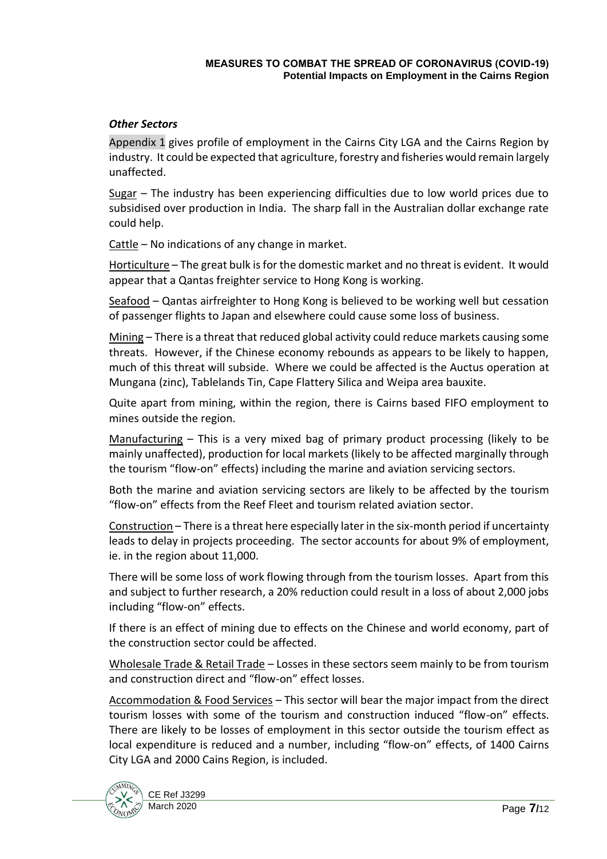#### *Other Sectors*

Appendix 1 gives profile of employment in the Cairns City LGA and the Cairns Region by industry. It could be expected that agriculture, forestry and fisheries would remain largely unaffected.

Sugar – The industry has been experiencing difficulties due to low world prices due to subsidised over production in India. The sharp fall in the Australian dollar exchange rate could help.

Cattle – No indications of any change in market.

Horticulture – The great bulk is for the domestic market and no threat is evident. It would appear that a Qantas freighter service to Hong Kong is working.

Seafood – Qantas airfreighter to Hong Kong is believed to be working well but cessation of passenger flights to Japan and elsewhere could cause some loss of business.

Mining – There is a threat that reduced global activity could reduce markets causing some threats. However, if the Chinese economy rebounds as appears to be likely to happen, much of this threat will subside. Where we could be affected is the Auctus operation at Mungana (zinc), Tablelands Tin, Cape Flattery Silica and Weipa area bauxite.

Quite apart from mining, within the region, there is Cairns based FIFO employment to mines outside the region.

Manufacturing – This is a very mixed bag of primary product processing (likely to be mainly unaffected), production for local markets (likely to be affected marginally through the tourism "flow-on" effects) including the marine and aviation servicing sectors.

Both the marine and aviation servicing sectors are likely to be affected by the tourism "flow-on" effects from the Reef Fleet and tourism related aviation sector.

Construction – There is a threat here especially later in the six-month period if uncertainty leads to delay in projects proceeding. The sector accounts for about 9% of employment, ie. in the region about 11,000.

There will be some loss of work flowing through from the tourism losses. Apart from this and subject to further research, a 20% reduction could result in a loss of about 2,000 jobs including "flow-on" effects.

If there is an effect of mining due to effects on the Chinese and world economy, part of the construction sector could be affected.

Wholesale Trade & Retail Trade – Losses in these sectors seem mainly to be from tourism and construction direct and "flow-on" effect losses.

Accommodation & Food Services – This sector will bear the major impact from the direct tourism losses with some of the tourism and construction induced "flow-on" effects. There are likely to be losses of employment in this sector outside the tourism effect as local expenditure is reduced and a number, including "flow-on" effects, of 1400 Cairns City LGA and 2000 Cains Region, is included.

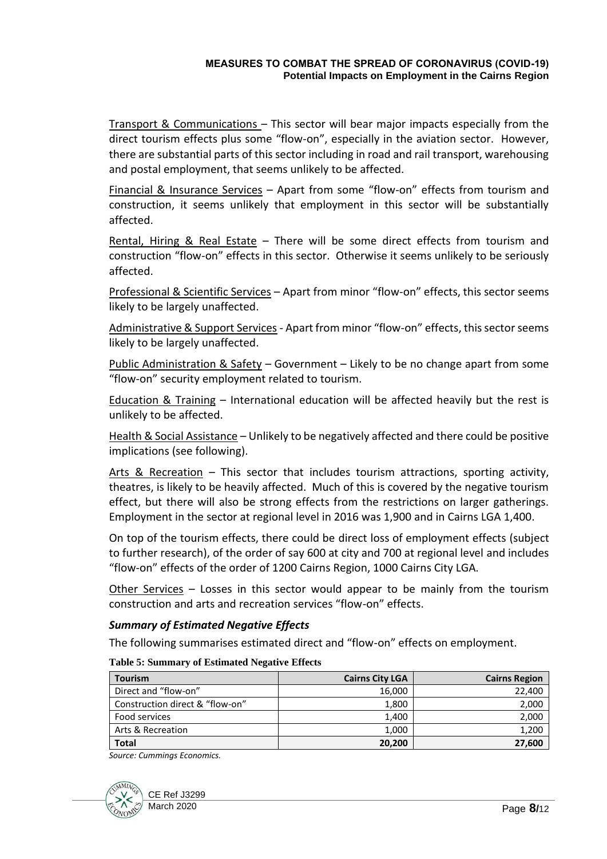#### **MEASURES TO COMBAT THE SPREAD OF CORONAVIRUS (COVID-19) Potential Impacts on Employment in the Cairns Region**

Transport & Communications – This sector will bear major impacts especially from the direct tourism effects plus some "flow-on", especially in the aviation sector. However, there are substantial parts of this sector including in road and rail transport, warehousing and postal employment, that seems unlikely to be affected.

Financial & Insurance Services – Apart from some "flow-on" effects from tourism and construction, it seems unlikely that employment in this sector will be substantially affected.

Rental, Hiring & Real Estate – There will be some direct effects from tourism and construction "flow-on" effects in this sector. Otherwise it seems unlikely to be seriously affected.

Professional & Scientific Services – Apart from minor "flow-on" effects, this sector seems likely to be largely unaffected.

Administrative & Support Services - Apart from minor "flow-on" effects, this sector seems likely to be largely unaffected.

Public Administration & Safety – Government – Likely to be no change apart from some "flow-on" security employment related to tourism.

Education & Training – International education will be affected heavily but the rest is unlikely to be affected.

Health & Social Assistance – Unlikely to be negatively affected and there could be positive implications (see following).

Arts & Recreation – This sector that includes tourism attractions, sporting activity, theatres, is likely to be heavily affected. Much of this is covered by the negative tourism effect, but there will also be strong effects from the restrictions on larger gatherings. Employment in the sector at regional level in 2016 was 1,900 and in Cairns LGA 1,400.

On top of the tourism effects, there could be direct loss of employment effects (subject to further research), of the order of say 600 at city and 700 at regional level and includes "flow-on" effects of the order of 1200 Cairns Region, 1000 Cairns City LGA.

Other Services – Losses in this sector would appear to be mainly from the tourism construction and arts and recreation services "flow-on" effects.

#### *Summary of Estimated Negative Effects*

The following summarises estimated direct and "flow-on" effects on employment.

<span id="page-7-0"></span>

| <b>Tourism</b>                  | <b>Cairns City LGA</b> | <b>Cairns Region</b> |
|---------------------------------|------------------------|----------------------|
| Direct and "flow-on"            | 16,000                 | 22,400               |
| Construction direct & "flow-on" | 1,800                  | 2,000                |
| Food services                   | 1,400                  | 2,000                |
| Arts & Recreation               | 1,000                  | 1,200                |
| <b>Total</b>                    | 20,200                 | 27,600               |

**Table 5: Summary of Estimated Negative Effects**

*Source: Cummings Economics.*

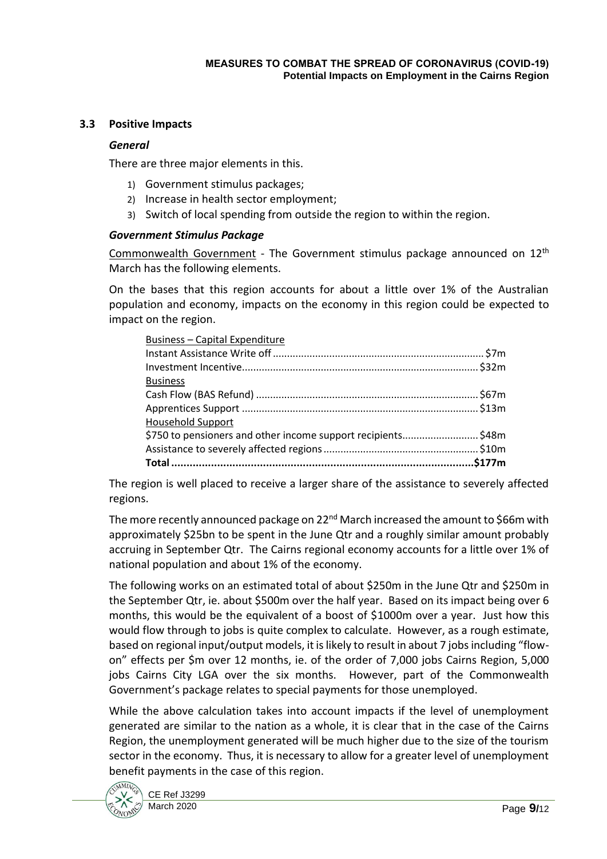#### <span id="page-8-0"></span>**3.3 Positive Impacts**

#### *General*

There are three major elements in this.

- 1) Government stimulus packages;
- 2) Increase in health sector employment;
- 3) Switch of local spending from outside the region to within the region.

#### *Government Stimulus Package*

Commonwealth Government - The Government stimulus package announced on 12<sup>th</sup> March has the following elements.

On the bases that this region accounts for about a little over 1% of the Australian population and economy, impacts on the economy in this region could be expected to impact on the region.

| <b>Business</b>                                              |  |
|--------------------------------------------------------------|--|
|                                                              |  |
|                                                              |  |
|                                                              |  |
|                                                              |  |
|                                                              |  |
| <b>Household Support</b>                                     |  |
| \$750 to pensioners and other income support recipients\$48m |  |
|                                                              |  |
|                                                              |  |

The region is well placed to receive a larger share of the assistance to severely affected regions.

The more recently announced package on 22<sup>nd</sup> March increased the amount to \$66m with approximately \$25bn to be spent in the June Qtr and a roughly similar amount probably accruing in September Qtr. The Cairns regional economy accounts for a little over 1% of national population and about 1% of the economy.

The following works on an estimated total of about \$250m in the June Qtr and \$250m in the September Qtr, ie. about \$500m over the half year. Based on its impact being over 6 months, this would be the equivalent of a boost of \$1000m over a year. Just how this would flow through to jobs is quite complex to calculate. However, as a rough estimate, based on regional input/output models, it is likely to result in about 7 jobs including "flowon" effects per \$m over 12 months, ie. of the order of 7,000 jobs Cairns Region, 5,000 jobs Cairns City LGA over the six months. However, part of the Commonwealth Government's package relates to special payments for those unemployed.

While the above calculation takes into account impacts if the level of unemployment generated are similar to the nation as a whole, it is clear that in the case of the Cairns Region, the unemployment generated will be much higher due to the size of the tourism sector in the economy. Thus, it is necessary to allow for a greater level of unemployment benefit payments in the case of this region.

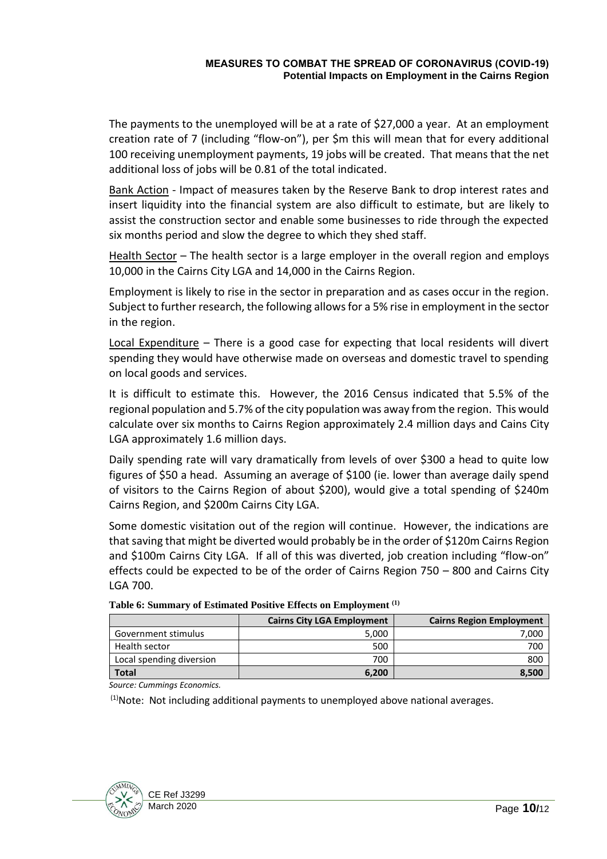The payments to the unemployed will be at a rate of \$27,000 a year. At an employment creation rate of 7 (including "flow-on"), per \$m this will mean that for every additional 100 receiving unemployment payments, 19 jobs will be created. That means that the net additional loss of jobs will be 0.81 of the total indicated.

Bank Action - Impact of measures taken by the Reserve Bank to drop interest rates and insert liquidity into the financial system are also difficult to estimate, but are likely to assist the construction sector and enable some businesses to ride through the expected six months period and slow the degree to which they shed staff.

Health Sector – The health sector is a large employer in the overall region and employs 10,000 in the Cairns City LGA and 14,000 in the Cairns Region.

Employment is likely to rise in the sector in preparation and as cases occur in the region. Subject to further research, the following allows for a 5% rise in employment in the sector in the region.

Local Expenditure – There is a good case for expecting that local residents will divert spending they would have otherwise made on overseas and domestic travel to spending on local goods and services.

It is difficult to estimate this. However, the 2016 Census indicated that 5.5% of the regional population and 5.7% of the city population was away from the region. This would calculate over six months to Cairns Region approximately 2.4 million days and Cains City LGA approximately 1.6 million days.

Daily spending rate will vary dramatically from levels of over \$300 a head to quite low figures of \$50 a head. Assuming an average of \$100 (ie. lower than average daily spend of visitors to the Cairns Region of about \$200), would give a total spending of \$240m Cairns Region, and \$200m Cairns City LGA.

Some domestic visitation out of the region will continue. However, the indications are that saving that might be diverted would probably be in the order of \$120m Cairns Region and \$100m Cairns City LGA. If all of this was diverted, job creation including "flow-on" effects could be expected to be of the order of Cairns Region 750 – 800 and Cairns City LGA 700.

<span id="page-9-0"></span>

|                          | <b>Cairns City LGA Employment</b> | <b>Cairns Region Employment</b> |
|--------------------------|-----------------------------------|---------------------------------|
| Government stimulus      | 5,000                             | 7,000                           |
| Health sector            | 500                               | 700                             |
| Local spending diversion | 700                               | 800                             |
| <b>Total</b>             | 6,200                             | 8,500                           |

| Table 6: Summary of Estimated Positive Effects on Employment <sup>(1)</sup> |  |  |
|-----------------------------------------------------------------------------|--|--|
|-----------------------------------------------------------------------------|--|--|

*Source: Cummings Economics.*

 $(1)$ Note: Not including additional payments to unemployed above national averages.

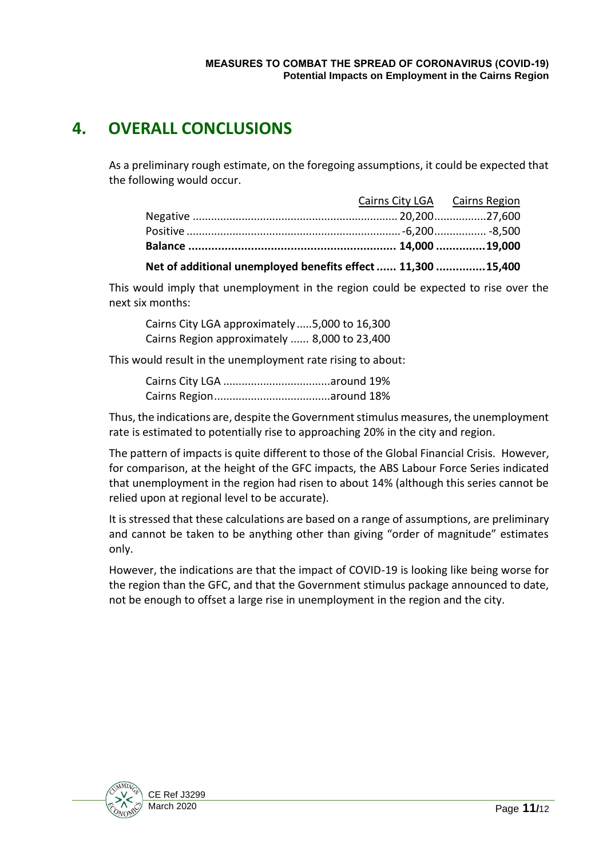# <span id="page-10-0"></span>**4. OVERALL CONCLUSIONS**

As a preliminary rough estimate, on the foregoing assumptions, it could be expected that the following would occur.

| Net of additional unemployed benefits effect  11,300 15,400 |                               |  |
|-------------------------------------------------------------|-------------------------------|--|
|                                                             |                               |  |
|                                                             |                               |  |
|                                                             |                               |  |
|                                                             | Cairns City LGA Cairns Region |  |

This would imply that unemployment in the region could be expected to rise over the next six months:

Cairns City LGA approximately .....5,000 to 16,300 Cairns Region approximately ...... 8,000 to 23,400

This would result in the unemployment rate rising to about:

Thus, the indications are, despite the Government stimulus measures, the unemployment rate is estimated to potentially rise to approaching 20% in the city and region.

The pattern of impacts is quite different to those of the Global Financial Crisis. However, for comparison, at the height of the GFC impacts, the ABS Labour Force Series indicated that unemployment in the region had risen to about 14% (although this series cannot be relied upon at regional level to be accurate).

It is stressed that these calculations are based on a range of assumptions, are preliminary and cannot be taken to be anything other than giving "order of magnitude" estimates only.

However, the indications are that the impact of COVID-19 is looking like being worse for the region than the GFC, and that the Government stimulus package announced to date, not be enough to offset a large rise in unemployment in the region and the city.